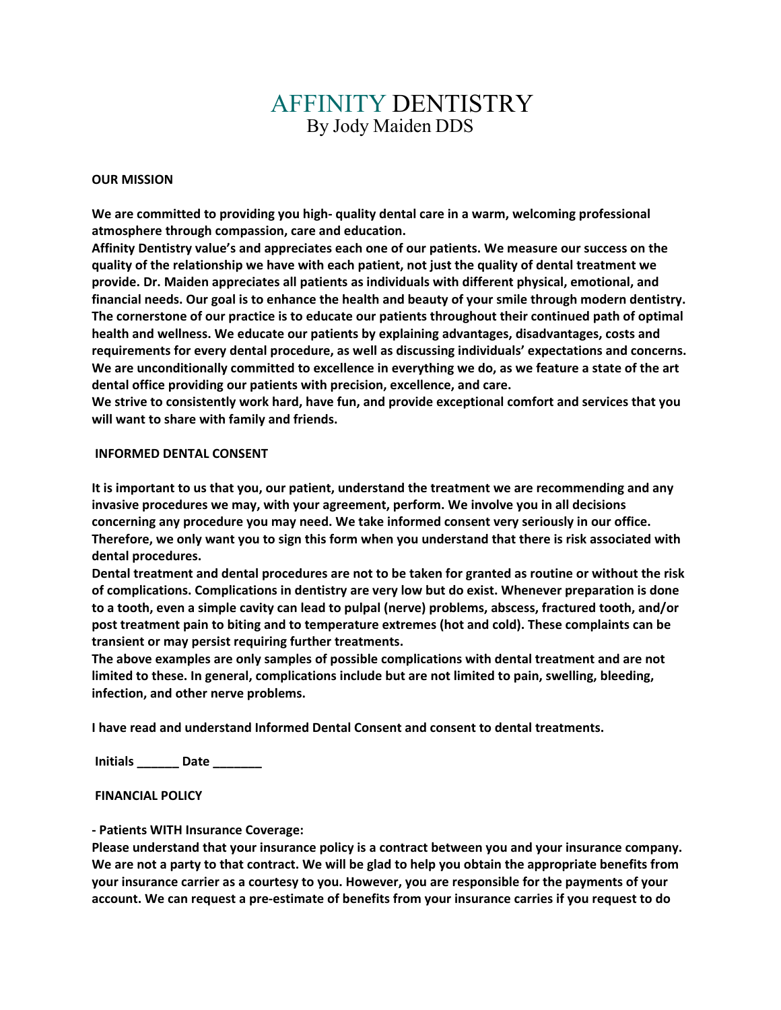## AFFINITY DENTISTRY By Jody Maiden DDS

## **OUR MISSION**

**We are committed to providing you high- quality dental care in a warm, welcoming professional atmosphere through compassion, care and education.**

**Affinity Dentistry value's and appreciates each one of our patients. We measure our success on the quality of the relationship we have with each patient, not just the quality of dental treatment we provide. Dr. Maiden appreciates all patients as individuals with different physical, emotional, and financial needs. Our goal is to enhance the health and beauty of your smile through modern dentistry. The cornerstone of our practice is to educate our patients throughout their continued path of optimal health and wellness. We educate our patients by explaining advantages, disadvantages, costs and requirements for every dental procedure, as well as discussing individuals' expectations and concerns. We are unconditionally committed to excellence in everything we do, as we feature a state of the art dental office providing our patients with precision, excellence, and care.**

**We strive to consistently work hard, have fun, and provide exceptional comfort and services that you will want to share with family and friends.**

## **INFORMED DENTAL CONSENT**

**It is important to us that you, our patient, understand the treatment we are recommending and any invasive procedures we may, with your agreement, perform. We involve you in all decisions concerning any procedure you may need. We take informed consent very seriously in our office. Therefore, we only want you to sign this form when you understand that there is risk associated with dental procedures.**

**Dental treatment and dental procedures are not to be taken for granted as routine or without the risk of complications. Complications in dentistry are very low but do exist. Whenever preparation is done to a tooth, even a simple cavity can lead to pulpal (nerve) problems, abscess, fractured tooth, and/or post treatment pain to biting and to temperature extremes (hot and cold). These complaints can be transient or may persist requiring further treatments.** 

**The above examples are only samples of possible complications with dental treatment and are not limited to these. In general, complications include but are not limited to pain, swelling, bleeding, infection, and other nerve problems.**

**I have read and understand Informed Dental Consent and consent to dental treatments.**

**Initials \_\_\_\_\_\_ Date \_\_\_\_\_\_\_**

**FINANCIAL POLICY**

**- Patients WITH Insurance Coverage:**

**Please understand that your insurance policy is a contract between you and your insurance company. We are not a party to that contract. We will be glad to help you obtain the appropriate benefits from your insurance carrier as a courtesy to you. However, you are responsible for the payments of your account. We can request a pre-estimate of benefits from your insurance carries if you request to do**